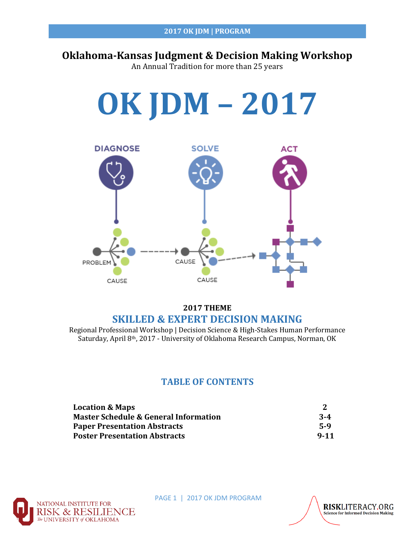# **Oklahoma-Kansas Judgment & Decision Making Workshop**

An Annual Tradition for more than 25 years



## **2017 THEME SKILLED & EXPERT DECISION MAKING**

Regional Professional Workshop | Decision Science & High-Stakes Human Performance Saturday, April 8th, 2017 - University of Oklahoma Research Campus, Norman, OK

# **TABLE OF CONTENTS**

| <b>Location &amp; Maps</b>                       |          |
|--------------------------------------------------|----------|
| <b>Master Schedule &amp; General Information</b> | $3 - 4$  |
| <b>Paper Presentation Abstracts</b>              | 5-9      |
| <b>Poster Presentation Abstracts</b>             | $9 - 11$ |



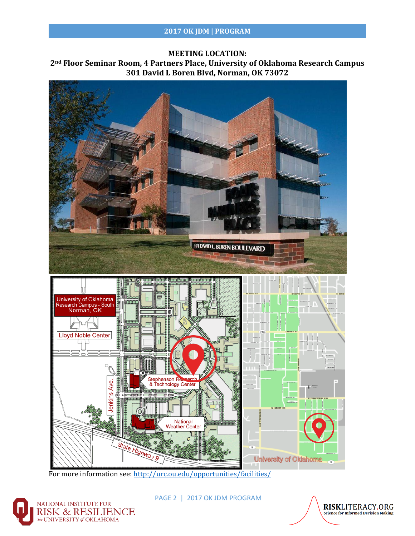#### **MEETING LOCATION:**

**2nd Floor Seminar Room, 4 Partners Place, University of Oklahoma Research Campus 301 David L Boren Blvd, Norman, OK 73072**



For more information see[: http://urc.ou.edu/opportunities/facilities/](http://urc.ou.edu/opportunities/facilities/)



PAGE 2 | 2017 OK JDM PROGRAM

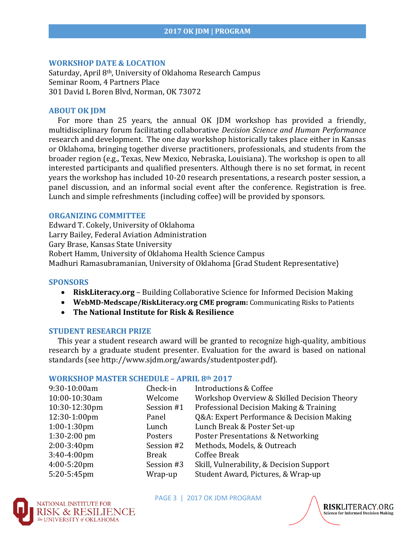#### **WORKSHOP DATE & LOCATION**

Saturday, April 8th, University of Oklahoma Research Campus Seminar Room, 4 Partners Place 301 David L Boren Blvd, Norman, OK 73072

#### **ABOUT OK JDM**

 For more than 25 years, the annual OK JDM workshop has provided a friendly, multidisciplinary forum facilitating collaborative *Decision Science and Human Performance*  research and development. The one day workshop historically takes place either in Kansas or Oklahoma, bringing together diverse practitioners, professionals, and students from the broader region (e.g., Texas, New Mexico, Nebraska, Louisiana). The workshop is open to all interested participants and qualified presenters. Although there is no set format, in recent years the workshop has included 10-20 research presentations, a research poster session, a panel discussion, and an informal social event after the conference. Registration is free. Lunch and simple refreshments (including coffee) will be provided by sponsors.

#### **ORGANIZING COMMITTEE**

Edward T. Cokely, University of Oklahoma Larry Bailey, Federal Aviation Administration Gary Brase, Kansas State University Robert Hamm, University of Oklahoma Health Science Campus Madhuri Ramasubramanian, University of Oklahoma [Grad Student Representative}

#### **SPONSORS**

- **RiskLiteracy.org** Building Collaborative Science for Informed Decision Making
- **WebMD-Medscape/RiskLiteracy.org CME program:** Communicating Risks to Patients
- **The National Institute for Risk & Resilience**

#### **STUDENT RESEARCH PRIZE**

 This year a student research award will be granted to recognize high-quality, ambitious research by a graduate student presenter. Evaluation for the award is based on national standards (see http://www.sjdm.org/awards/studentposter.pdf).

#### **WORKSHOP MASTER SCHEDULE – APRIL 8th 2017**

| 9:30-10:00am   | Check-in     | Introductions & Coffee                       |
|----------------|--------------|----------------------------------------------|
| 10:00-10:30am  | Welcome      | Workshop Overview & Skilled Decision Theory  |
| 10:30-12:30pm  | Session #1   | Professional Decision Making & Training      |
| 12:30-1:00pm   | Panel        | Q&A: Expert Performance & Decision Making    |
| $1:00-1:30$ pm | Lunch        | Lunch Break & Poster Set-up                  |
| $1:30-2:00$ pm | Posters      | <b>Poster Presentations &amp; Networking</b> |
| 2:00-3:40pm    | Session #2   | Methods, Models, & Outreach                  |
| $3:40-4:00$ pm | <b>Break</b> | <b>Coffee Break</b>                          |
| 4:00-5:20pm    | Session #3   | Skill, Vulnerability, & Decision Support     |
| 5:20-5:45pm    | Wrap-up      | Student Award, Pictures, & Wrap-up           |



PAGE 3 | 2017 OK JDM PROGRAM